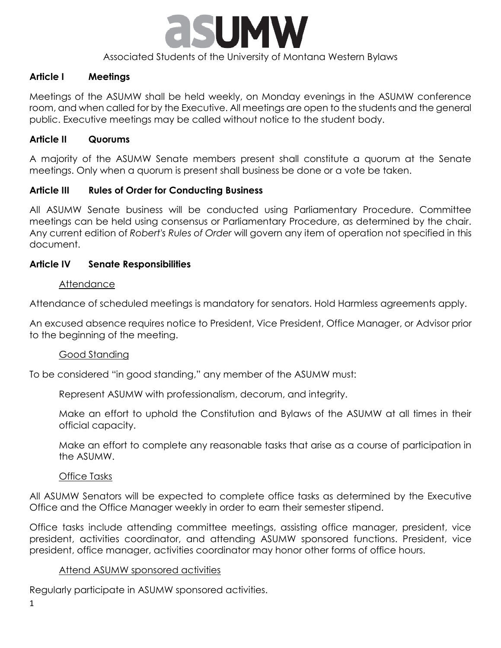

#### Associated Students of the University of Montana Western Bylaws

#### **Article I Meetings**

Meetings of the ASUMW shall be held weekly, on Monday evenings in the ASUMW conference room, and when called for by the Executive. All meetings are open to the students and the general public. Executive meetings may be called without notice to the student body.

#### **Article II Quorums**

A majority of the ASUMW Senate members present shall constitute a quorum at the Senate meetings. Only when a quorum is present shall business be done or a vote be taken.

### **Article III Rules of Order for Conducting Business**

All ASUMW Senate business will be conducted using Parliamentary Procedure. Committee meetings can be held using consensus or Parliamentary Procedure, as determined by the chair. Any current edition of *Robert's Rules of Order* will govern any item of operation not specified in this document.

#### **Article IV Senate Responsibilities**

#### **Attendance**

Attendance of scheduled meetings is mandatory for senators. Hold Harmless agreements apply.

An excused absence requires notice to President, Vice President, Office Manager, or Advisor prior to the beginning of the meeting.

#### Good Standing

To be considered "in good standing," any member of the ASUMW must:

Represent ASUMW with professionalism, decorum, and integrity.

Make an effort to uphold the Constitution and Bylaws of the ASUMW at all times in their official capacity.

Make an effort to complete any reasonable tasks that arise as a course of participation in the ASUMW.

#### Office Tasks

All ASUMW Senators will be expected to complete office tasks as determined by the Executive Office and the Office Manager weekly in order to earn their semester stipend.

Office tasks include attending committee meetings, assisting office manager, president, vice president, activities coordinator, and attending ASUMW sponsored functions. President, vice president, office manager, activities coordinator may honor other forms of office hours.

#### Attend ASUMW sponsored activities

Regularly participate in ASUMW sponsored activities.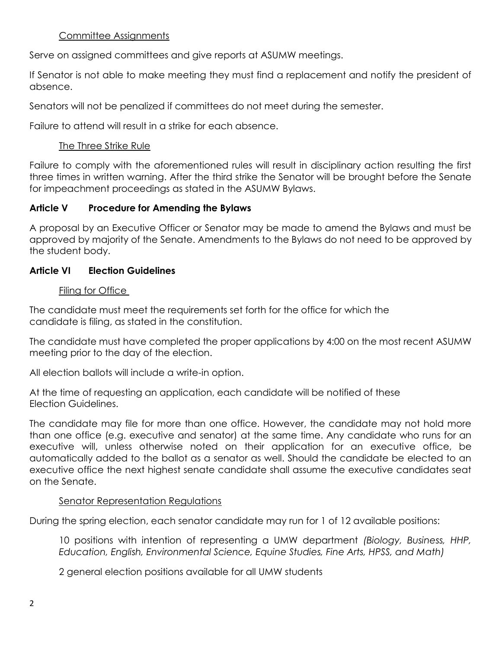# Committee Assignments

Serve on assigned committees and give reports at ASUMW meetings.

If Senator is not able to make meeting they must find a replacement and notify the president of absence.

Senators will not be penalized if committees do not meet during the semester.

Failure to attend will result in a strike for each absence.

## The Three Strike Rule

Failure to comply with the aforementioned rules will result in disciplinary action resulting the first three times in written warning. After the third strike the Senator will be brought before the Senate for impeachment proceedings as stated in the ASUMW Bylaws.

## **Article V Procedure for Amending the Bylaws**

A proposal by an Executive Officer or Senator may be made to amend the Bylaws and must be approved by majority of the Senate. Amendments to the Bylaws do not need to be approved by the student body.

### **Article VI Election Guidelines**

## Filing for Office

The candidate must meet the requirements set forth for the office for which the candidate is filing, as stated in the constitution.

The candidate must have completed the proper applications by 4:00 on the most recent ASUMW meeting prior to the day of the election.

All election ballots will include a write-in option.

At the time of requesting an application, each candidate will be notified of these Election Guidelines.

The candidate may file for more than one office. However, the candidate may not hold more than one office (e.g. executive and senator) at the same time. Any candidate who runs for an executive will, unless otherwise noted on their application for an executive office, be automatically added to the ballot as a senator as well. Should the candidate be elected to an executive office the next highest senate candidate shall assume the executive candidates seat on the Senate.

### Senator Representation Regulations

During the spring election, each senator candidate may run for 1 of 12 available positions:

10 positions with intention of representing a UMW department *(Biology, Business, HHP, Education, English, Environmental Science, Equine Studies, Fine Arts, HPSS, and Math)*

2 general election positions available for all UMW students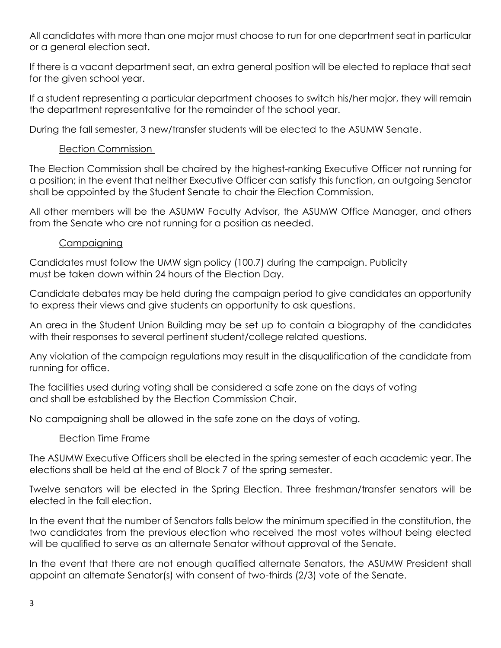All candidates with more than one major must choose to run for one department seat in particular or a general election seat.

If there is a vacant department seat, an extra general position will be elected to replace that seat for the given school year.

If a student representing a particular department chooses to switch his/her major, they will remain the department representative for the remainder of the school year.

During the fall semester, 3 new/transfer students will be elected to the ASUMW Senate.

# Election Commission

The Election Commission shall be chaired by the highest-ranking Executive Officer not running for a position; in the event that neither Executive Officer can satisfy this function, an outgoing Senator shall be appointed by the Student Senate to chair the Election Commission.

All other members will be the ASUMW Faculty Advisor, the ASUMW Office Manager, and others from the Senate who are not running for a position as needed.

## **Campaigning**

Candidates must follow the UMW sign policy (100.7) during the campaign. Publicity must be taken down within 24 hours of the Election Day.

Candidate debates may be held during the campaign period to give candidates an opportunity to express their views and give students an opportunity to ask questions.

An area in the Student Union Building may be set up to contain a biography of the candidates with their responses to several pertinent student/college related questions.

Any violation of the campaign regulations may result in the disqualification of the candidate from running for office.

The facilities used during voting shall be considered a safe zone on the days of voting and shall be established by the Election Commission Chair.

No campaigning shall be allowed in the safe zone on the days of voting.

# Election Time Frame

The ASUMW Executive Officers shall be elected in the spring semester of each academic year. The elections shall be held at the end of Block 7 of the spring semester.

Twelve senators will be elected in the Spring Election. Three freshman/transfer senators will be elected in the fall election.

In the event that the number of Senators falls below the minimum specified in the constitution, the two candidates from the previous election who received the most votes without being elected will be qualified to serve as an alternate Senator without approval of the Senate.

In the event that there are not enough qualified alternate Senators, the ASUMW President shall appoint an alternate Senator(s) with consent of two-thirds (2/3) vote of the Senate.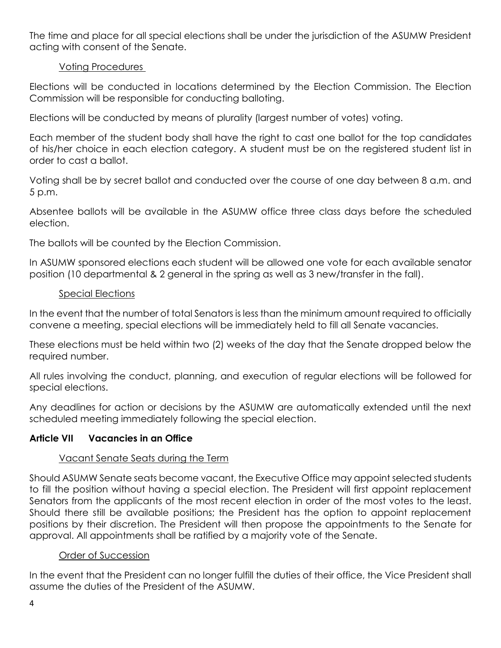The time and place for all special elections shall be under the jurisdiction of the ASUMW President acting with consent of the Senate.

# Voting Procedures

Elections will be conducted in locations determined by the Election Commission. The Election Commission will be responsible for conducting balloting.

Elections will be conducted by means of plurality (largest number of votes) voting.

Each member of the student body shall have the right to cast one ballot for the top candidates of his/her choice in each election category. A student must be on the registered student list in order to cast a ballot.

Voting shall be by secret ballot and conducted over the course of one day between 8 a.m. and 5 p.m.

Absentee ballots will be available in the ASUMW office three class days before the scheduled election.

The ballots will be counted by the Election Commission.

In ASUMW sponsored elections each student will be allowed one vote for each available senator position (10 departmental & 2 general in the spring as well as 3 new/transfer in the fall).

## Special Elections

In the event that the number of total Senators is less than the minimum amount required to officially convene a meeting, special elections will be immediately held to fill all Senate vacancies.

These elections must be held within two (2) weeks of the day that the Senate dropped below the required number.

All rules involving the conduct, planning, and execution of regular elections will be followed for special elections.

Any deadlines for action or decisions by the ASUMW are automatically extended until the next scheduled meeting immediately following the special election.

# **Article VII Vacancies in an Office**

# Vacant Senate Seats during the Term

Should ASUMW Senate seats become vacant, the Executive Office may appoint selected students to fill the position without having a special election. The President will first appoint replacement Senators from the applicants of the most recent election in order of the most votes to the least. Should there still be available positions; the President has the option to appoint replacement positions by their discretion. The President will then propose the appointments to the Senate for approval. All appointments shall be ratified by a majority vote of the Senate.

### Order of Succession

In the event that the President can no longer fulfill the duties of their office, the Vice President shall assume the duties of the President of the ASUMW.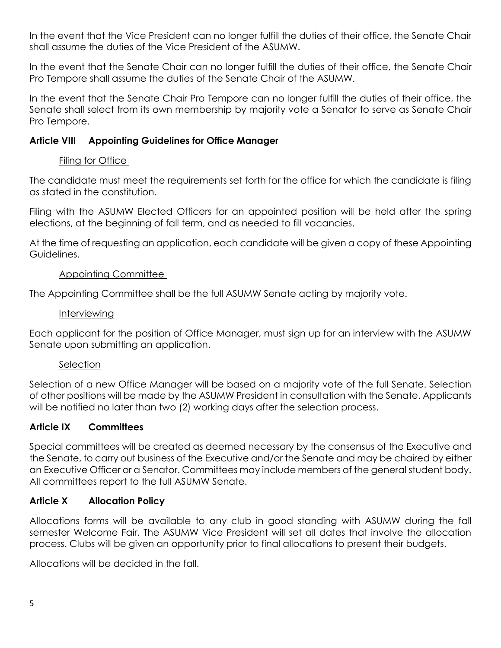In the event that the Vice President can no longer fulfill the duties of their office, the Senate Chair shall assume the duties of the Vice President of the ASUMW.

In the event that the Senate Chair can no longer fulfill the duties of their office, the Senate Chair Pro Tempore shall assume the duties of the Senate Chair of the ASUMW.

In the event that the Senate Chair Pro Tempore can no longer fulfill the duties of their office, the Senate shall select from its own membership by majority vote a Senator to serve as Senate Chair Pro Tempore.

## **Article VIII Appointing Guidelines for Office Manager**

## Filing for Office

The candidate must meet the requirements set forth for the office for which the candidate is filing as stated in the constitution.

Filing with the ASUMW Elected Officers for an appointed position will be held after the spring elections, at the beginning of fall term, and as needed to fill vacancies.

At the time of requesting an application, each candidate will be given a copy of these Appointing Guidelines.

## Appointing Committee

The Appointing Committee shall be the full ASUMW Senate acting by majority vote.

### Interviewing

Each applicant for the position of Office Manager, must sign up for an interview with the ASUMW Senate upon submitting an application.

# **Selection**

Selection of a new Office Manager will be based on a majority vote of the full Senate. Selection of other positions will be made by the ASUMW President in consultation with the Senate. Applicants will be notified no later than two (2) working days after the selection process.

# **Article IX Committees**

Special committees will be created as deemed necessary by the consensus of the Executive and the Senate, to carry out business of the Executive and/or the Senate and may be chaired by either an Executive Officer or a Senator. Committees may include members of the general student body. All committees report to the full ASUMW Senate.

# **Article X Allocation Policy**

Allocations forms will be available to any club in good standing with ASUMW during the fall semester Welcome Fair. The ASUMW Vice President will set all dates that involve the allocation process. Clubs will be given an opportunity prior to final allocations to present their budgets.

Allocations will be decided in the fall.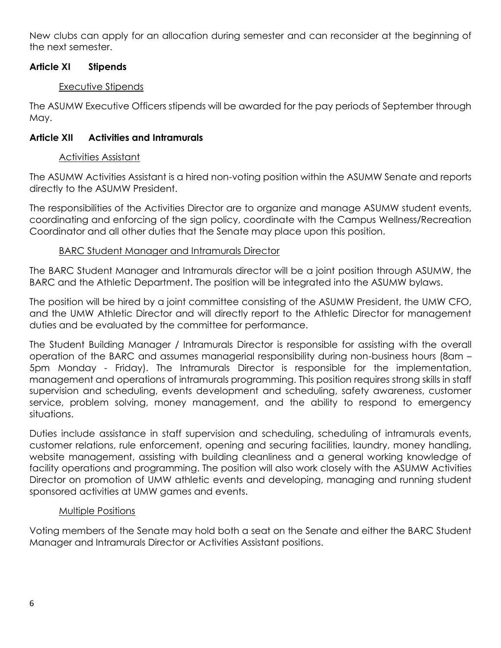New clubs can apply for an allocation during semester and can reconsider at the beginning of the next semester.

# **Article XI Stipends**

## Executive Stipends

The ASUMW Executive Officers stipends will be awarded for the pay periods of September through May.

# **Article XII Activities and Intramurals**

## Activities Assistant

The ASUMW Activities Assistant is a hired non-voting position within the ASUMW Senate and reports directly to the ASUMW President.

The responsibilities of the Activities Director are to organize and manage ASUMW student events, coordinating and enforcing of the sign policy, coordinate with the Campus Wellness/Recreation Coordinator and all other duties that the Senate may place upon this position.

## BARC Student Manager and Intramurals Director

The BARC Student Manager and Intramurals director will be a joint position through ASUMW, the BARC and the Athletic Department. The position will be integrated into the ASUMW bylaws.

The position will be hired by a joint committee consisting of the ASUMW President, the UMW CFO, and the UMW Athletic Director and will directly report to the Athletic Director for management duties and be evaluated by the committee for performance.

The Student Building Manager / Intramurals Director is responsible for assisting with the overall operation of the BARC and assumes managerial responsibility during non-business hours (8am – 5pm Monday - Friday). The Intramurals Director is responsible for the implementation, management and operations of intramurals programming. This position requires strong skills in staff supervision and scheduling, events development and scheduling, safety awareness, customer service, problem solving, money management, and the ability to respond to emergency situations.

Duties include assistance in staff supervision and scheduling, scheduling of intramurals events, customer relations, rule enforcement, opening and securing facilities, laundry, money handling, website management, assisting with building cleanliness and a general working knowledge of facility operations and programming. The position will also work closely with the ASUMW Activities Director on promotion of UMW athletic events and developing, managing and running student sponsored activities at UMW games and events.

# Multiple Positions

Voting members of the Senate may hold both a seat on the Senate and either the BARC Student Manager and Intramurals Director or Activities Assistant positions.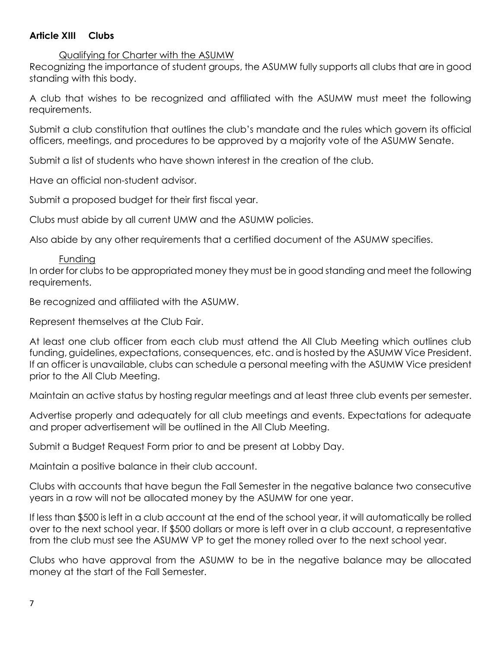# **Article XIII Clubs**

#### Qualifying for Charter with the ASUMW

Recognizing the importance of student groups, the ASUMW fully supports all clubs that are in good standing with this body.

A club that wishes to be recognized and affiliated with the ASUMW must meet the following requirements.

Submit a club constitution that outlines the club's mandate and the rules which govern its official officers, meetings, and procedures to be approved by a majority vote of the ASUMW Senate.

Submit a list of students who have shown interest in the creation of the club.

Have an official non-student advisor.

Submit a proposed budget for their first fiscal year.

Clubs must abide by all current UMW and the ASUMW policies.

Also abide by any other requirements that a certified document of the ASUMW specifies.

## Funding

In order for clubs to be appropriated money they must be in good standing and meet the following requirements.

Be recognized and affiliated with the ASUMW.

Represent themselves at the Club Fair.

At least one club officer from each club must attend the All Club Meeting which outlines club funding, guidelines, expectations, consequences, etc. and is hosted by the ASUMW Vice President. If an officer is unavailable, clubs can schedule a personal meeting with the ASUMW Vice president prior to the All Club Meeting.

Maintain an active status by hosting regular meetings and at least three club events per semester.

Advertise properly and adequately for all club meetings and events. Expectations for adequate and proper advertisement will be outlined in the All Club Meeting.

Submit a Budget Request Form prior to and be present at Lobby Day.

Maintain a positive balance in their club account.

Clubs with accounts that have begun the Fall Semester in the negative balance two consecutive years in a row will not be allocated money by the ASUMW for one year.

If less than \$500 is left in a club account at the end of the school year, it will automatically be rolled over to the next school year. If \$500 dollars or more is left over in a club account, a representative from the club must see the ASUMW VP to get the money rolled over to the next school year.

Clubs who have approval from the ASUMW to be in the negative balance may be allocated money at the start of the Fall Semester.